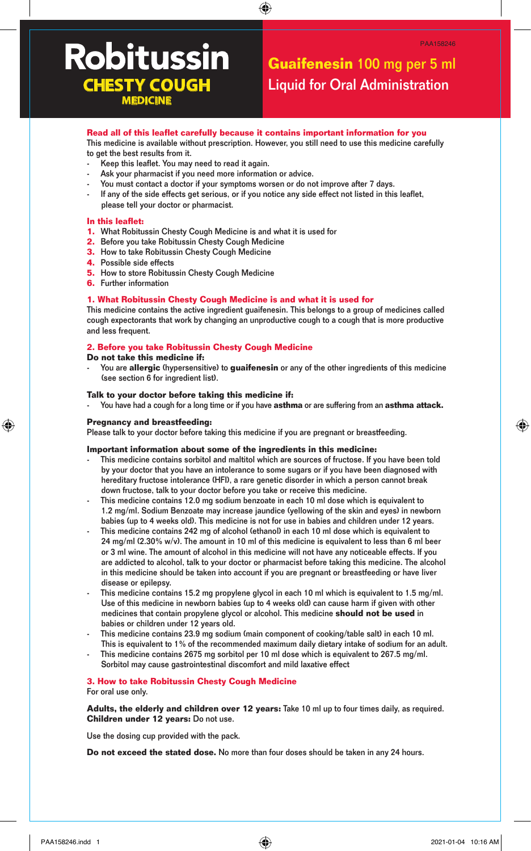# **Robitussin MEDICINE**

# **Guaifenesin** 100 mg per 5 ml **CHESTY COUGH Liquid for Oral Administration**

# **Read all of this leaflet carefully because it contains important information for you**

This medicine is available without prescription. However, you still need to use this medicine carefully to get the best results from it.

⊕

- Keep this leaflet. You may need to read it again.
- Ask your pharmacist if you need more information or advice.
- You must contact a doctor if your symptoms worsen or do not improve after 7 days.
- If any of the side effects get serious, or if you notice any side effect not listed in this leaflet, please tell your doctor or pharmacist.

#### **In this leaflet:**

- **1.** What Robitussin Chesty Cough Medicine is and what it is used for
- **2.** Before you take Robitussin Chesty Cough Medicine
- **3.** How to take Robitussin Chesty Cough Medicine
- **4.** Possible side effects
- **5.** How to store Robitussin Chesty Cough Medicine
- **6.** Further information

#### **1. What Robitussin Chesty Cough Medicine is and what it is used for**

This medicine contains the active ingredient guaifenesin. This belongs to a group of medicines called cough expectorants that work by changing an unproductive cough to a cough that is more productive and less frequent.

#### **2. Before you take Robitussin Chesty Cough Medicine**

#### **Do not take this medicine if:**

- You are **allergic** (hypersensitive) to **guaifenesin** or any of the other ingredients of this medicine (see section 6 for ingredient list).

#### **Talk to your doctor before taking this medicine if:**

- You have had a cough for a long time or if you have **asthma** or are suffering from an **asthma attack.**

# **Pregnancy and breastfeeding:**

◈

Please talk to your doctor before taking this medicine if you are pregnant or breastfeeding.

# **Important information about some of the ingredients in this medicine:**

- This medicine contains sorbitol and maltitol which are sources of fructose. If you have been told by your doctor that you have an intolerance to some sugars or if you have been diagnosed with hereditary fructose intolerance (HFI), a rare genetic disorder in which a person cannot break down fructose, talk to your doctor before you take or receive this medicine.
- This medicine contains 12.0 mg sodium benzoate in each 10 ml dose which is equivalent to 1.2 mg/ml. Sodium Benzoate may increase jaundice (yellowing of the skin and eyes) in newborn babies (up to 4 weeks old). This medicine is not for use in babies and children under 12 years.
- This medicine contains 242 mg of alcohol (ethanol) in each 10 ml dose which is equivalent to 24 mg/ml (2.30% w/v). The amount in 10 ml of this medicine is equivalent to less than 6 ml beer or 3 ml wine. The amount of alcohol in this medicine will not have any noticeable effects. If you are addicted to alcohol, talk to your doctor or pharmacist before taking this medicine. The alcohol in this medicine should be taken into account if you are pregnant or breastfeeding or have liver disease or epilepsy.
- This medicine contains 15.2 mg propylene glycol in each 10 ml which is equivalent to 1.5 mg/ml. Use of this medicine in newborn babies (up to 4 weeks old) can cause harm if given with other medicines that contain propylene glycol or alcohol. This medicine **should not be used** in babies or children under 12 years old.
- This medicine contains 23.9 mg sodium (main component of cooking/table salt) in each 10 ml. This is equivalent to 1% of the recommended maximum daily dietary intake of sodium for an adult.
- This medicine contains 2675 mg sorbitol per 10 ml dose which is equivalent to 267.5 mg/ml. Sorbitol may cause gastrointestinal discomfort and mild laxative effect

# **3. How to take Robitussin Chesty Cough Medicine**

For oral use only.

**Adults, the elderly and children over 12 years:** Take 10 ml up to four times daily, as required. **Children under 12 years:** Do not use.

Use the dosing cup provided with the pack.

**Do not exceed the stated dose.** No more than four doses should be taken in any 24 hours.

◈